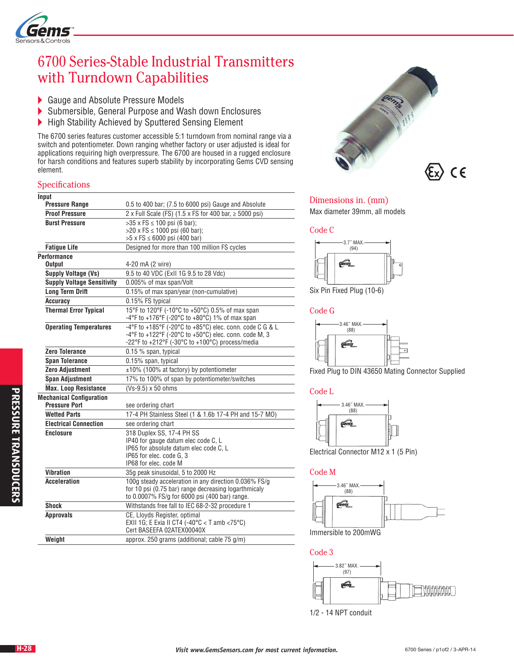

# 6700 Series-Stable Industrial Transmitters with Turndown Capabilities

- Gauge and Absolute Pressure Models<br>Submersible, General Purpose and Wa
- Submersible, General Purpose and Wash down Enclosures
- ▶ High Stability Achieved by Sputtered Sensing Element

The 6700 series features customer accessible 5:1 turndown from nominal range via a switch and potentiometer. Down ranging whether factory or user adjusted is ideal for applications requiring high overpressure. The 6700 are housed in a rugged enclosure for harsh conditions and features superb stability by incorporating Gems CVD sensing element.

## Specifications

| Input<br><b>Pressure Range</b>                          | 0.5 to 400 bar; (7.5 to 6000 psi) Gauge and Absolute                                                                                                                                                            |  |  |  |
|---------------------------------------------------------|-----------------------------------------------------------------------------------------------------------------------------------------------------------------------------------------------------------------|--|--|--|
| <b>Proof Pressure</b>                                   | 2 x Full Scale (FS) (1.5 x FS for 400 bar, $\ge$ 5000 psi)                                                                                                                                                      |  |  |  |
| <b>Burst Pressure</b>                                   | >35 x FS ≤ 100 psi (6 bar);                                                                                                                                                                                     |  |  |  |
|                                                         | $>20 \times FS \le 1000$ psi (60 bar);                                                                                                                                                                          |  |  |  |
|                                                         | $>5$ x FS $\leq$ 6000 psi (400 bar)                                                                                                                                                                             |  |  |  |
| <b>Fatigue Life</b>                                     | Designed for more than 100 million FS cycles                                                                                                                                                                    |  |  |  |
| <b>Performance</b>                                      |                                                                                                                                                                                                                 |  |  |  |
| <b>Output</b>                                           | 4-20 mA (2 wire)                                                                                                                                                                                                |  |  |  |
| Supply Voltage (Vs)                                     | 9.5 to 40 VDC (ExII 1G 9.5 to 28 Vdc)                                                                                                                                                                           |  |  |  |
| <b>Supply Voltage Sensitivity</b>                       | 0.005% of max span/Volt                                                                                                                                                                                         |  |  |  |
| <b>Long Term Drift</b>                                  | 0.15% of max span/year (non-cumulative)                                                                                                                                                                         |  |  |  |
| <b>Accuracy</b>                                         | 0.15% FS typical                                                                                                                                                                                                |  |  |  |
| <b>Thermal Error Typical</b>                            | 15°F to 120°F (-10°C to +50°C) 0.5% of max span<br>-4°F to +176°F (-20°C to +80°C) 1% of max span                                                                                                               |  |  |  |
| <b>Operating Temperatures</b>                           | -4°F to +185°F (-20°C to +85°C) elec. conn. code C G & L<br>$-4^{\circ}$ F to +122 $^{\circ}$ F (-20 $^{\circ}$ C to +50 $^{\circ}$ C) elec. conn. code M, 3<br>-22°F to +212°F (-30°C to +100°C) process/media |  |  |  |
| <b>Zero Tolerance</b>                                   | 0.15 % span, typical                                                                                                                                                                                            |  |  |  |
| <b>Span Tolerance</b>                                   | 0.15% span, typical                                                                                                                                                                                             |  |  |  |
| <b>Zero Adjustment</b>                                  | $±10\%$ (100% at factory) by potentiometer                                                                                                                                                                      |  |  |  |
| <b>Span Adjustment</b>                                  | 17% to 100% of span by potentiometer/switches                                                                                                                                                                   |  |  |  |
| <b>Max. Loop Resistance</b>                             | (Vs-9.5) x 50 ohms                                                                                                                                                                                              |  |  |  |
| <b>Mechanical Configuration</b><br><b>Pressure Port</b> | see ordering chart                                                                                                                                                                                              |  |  |  |
| <b>Wetted Parts</b>                                     | 17-4 PH Stainless Steel (1 & 1.6b 17-4 PH and 15-7 MO)                                                                                                                                                          |  |  |  |
| <b>Electrical Connection</b>                            | see ordering chart                                                                                                                                                                                              |  |  |  |
| <b>Enclosure</b>                                        | 318 Duplex SS, 17-4 PH SS                                                                                                                                                                                       |  |  |  |
|                                                         | IP40 for gauge datum elec code C, L                                                                                                                                                                             |  |  |  |
|                                                         | IP65 for absolute datum elec code C, L                                                                                                                                                                          |  |  |  |
|                                                         | IP65 for elec. code G. 3                                                                                                                                                                                        |  |  |  |
| <b>Vibration</b>                                        | IP68 for elec. code M                                                                                                                                                                                           |  |  |  |
|                                                         | 35g peak sinusoidal, 5 to 2000 Hz                                                                                                                                                                               |  |  |  |
| <b>Acceleration</b>                                     | 100g steady acceleration in any direction 0.036% FS/g<br>for 10 psi (0.75 bar) range decreasing logarthmicaly<br>to 0.0007% FS/g for 6000 psi (400 bar) range.                                                  |  |  |  |
| Shock                                                   | Withstands free fall to IEC 68-2-32 procedure 1                                                                                                                                                                 |  |  |  |
| <b>Approvals</b>                                        | CE, Lloyds Register, optimal<br>EXII 1G; E Exia II CT4 (-40°C < T amb <75°C)<br>Cert BASEEFA 02ATEX00040X                                                                                                       |  |  |  |
| Weight                                                  | approx. 250 grams (additional; cable 75 g/m)                                                                                                                                                                    |  |  |  |



## Dimensions in. (mm)

Max diameter 39mm, all models

### Code C



Six Pin Fixed Plug (10-6)

Code G



Fixed Plug to DIN 43650 Mating Connector Supplied

### Code L



Electrical Connector M12 x 1 (5 Pin)

#### Code M



Immersible to 200mWG

Code 3



1/2 - 14 NPT conduit